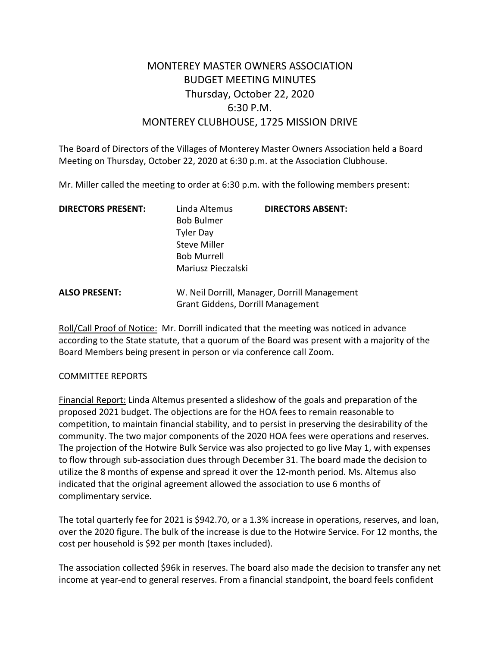## MONTEREY MASTER OWNERS ASSOCIATION BUDGET MEETING MINUTES Thursday, October 22, 2020 6:30 P.M. MONTEREY CLUBHOUSE, 1725 MISSION DRIVE

The Board of Directors of the Villages of Monterey Master Owners Association held a Board Meeting on Thursday, October 22, 2020 at 6:30 p.m. at the Association Clubhouse.

Mr. Miller called the meeting to order at 6:30 p.m. with the following members present:

| <b>DIRECTORS PRESENT:</b> | Linda Altemus                                | <b>DIRECTORS ABSENT:</b> |
|---------------------------|----------------------------------------------|--------------------------|
|                           | <b>Bob Bulmer</b>                            |                          |
|                           | <b>Tyler Day</b>                             |                          |
|                           | <b>Steve Miller</b>                          |                          |
|                           | <b>Bob Murrell</b>                           |                          |
|                           | Mariusz Pieczalski                           |                          |
| <b>ALSO PRESENT:</b>      | W. Neil Dorrill, Manager, Dorrill Management |                          |
|                           | <b>Grant Giddens, Dorrill Management</b>     |                          |

Roll/Call Proof of Notice: Mr. Dorrill indicated that the meeting was noticed in advance according to the State statute, that a quorum of the Board was present with a majority of the Board Members being present in person or via conference call Zoom.

## COMMITTEE REPORTS

Financial Report: Linda Altemus presented a slideshow of the goals and preparation of the proposed 2021 budget. The objections are for the HOA fees to remain reasonable to competition, to maintain financial stability, and to persist in preserving the desirability of the community. The two major components of the 2020 HOA fees were operations and reserves. The projection of the Hotwire Bulk Service was also projected to go live May 1, with expenses to flow through sub-association dues through December 31. The board made the decision to utilize the 8 months of expense and spread it over the 12-month period. Ms. Altemus also indicated that the original agreement allowed the association to use 6 months of complimentary service.

The total quarterly fee for 2021 is \$942.70, or a 1.3% increase in operations, reserves, and loan, over the 2020 figure. The bulk of the increase is due to the Hotwire Service. For 12 months, the cost per household is \$92 per month (taxes included).

The association collected \$96k in reserves. The board also made the decision to transfer any net income at year-end to general reserves. From a financial standpoint, the board feels confident